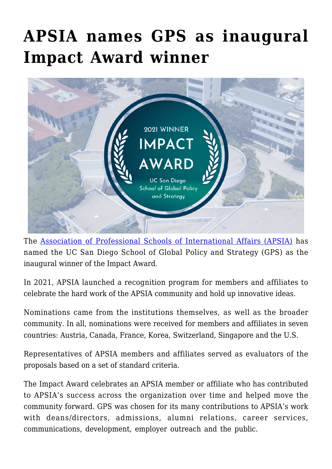## **[APSIA names GPS as inaugural](https://gpsnews.ucsd.edu/apsia-names-gps-as-inaugural-impact-award-winner/) [Impact Award winner](https://gpsnews.ucsd.edu/apsia-names-gps-as-inaugural-impact-award-winner/)**



The [Association of Professional Schools of International Affairs \(APSIA\)](https://apsia.org/) has named the UC San Diego School of Global Policy and Strategy (GPS) as the inaugural winner of the Impact Award.

In 2021, APSIA launched a recognition program for members and affiliates to celebrate the hard work of the APSIA community and hold up innovative ideas.

Nominations came from the institutions themselves, as well as the broader community. In all, nominations were received for members and affiliates in seven countries: Austria, Canada, France, Korea, Switzerland, Singapore and the U.S.

Representatives of APSIA members and affiliates served as evaluators of the proposals based on a set of standard criteria.

The Impact Award celebrates an APSIA member or affiliate who has contributed to APSIA's success across the organization over time and helped move the community forward. GPS was chosen for its many contributions to APSIA's work with deans/directors, admissions, alumni relations, career services, communications, development, employer outreach and the public.